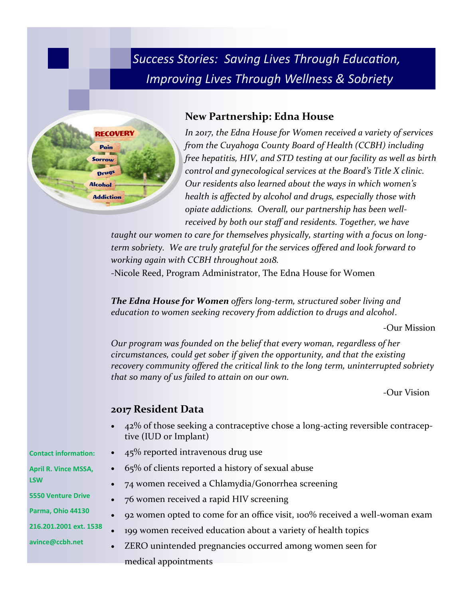*Success Stories: Saving Lives Through Education, Improving Lives Through Wellness & Sobriety*



## **New Partnership: Edna House**

*In 2017, the Edna House for Women received a variety of services from the Cuyahoga County Board of Health (CCBH) including free hepatitis, HIV, and STD testing at our facility as well as birth control and gynecological services at the Board's Title X clinic. Our residents also learned about the ways in which women's health is affected by alcohol and drugs, especially those with opiate addictions. Overall, our partnership has been wellreceived by both our staff and residents. Together, we have* 

*taught our women to care for themselves physically, starting with a focus on longterm sobriety. We are truly grateful for the services offered and look forward to working again with CCBH throughout 2018.*

-Nicole Reed, Program Administrator, The Edna House for Women

*The Edna House for Women offers long-term, structured sober living and education to women seeking recovery from addiction to drugs and alcohol*.

-Our Mission

*Our program was founded on the belief that every woman, regardless of her circumstances, could get sober if given the opportunity, and that the existing recovery community offered the critical link to the long term, uninterrupted sobriety that so many of us failed to attain on our own.* 

-Our Vision

## **2017 Resident Data**

- 42% of those seeking a contraceptive chose a long-acting reversible contraceptive (IUD or Implant)
- 45% reported intravenous drug use
- 65% of clients reported a history of sexual abuse
- 74 women received a Chlamydia/Gonorrhea screening
- 76 women received a rapid HIV screening
- 92 women opted to come for an office visit, 100% received a well-woman exam
- 199 women received education about a variety of health topics
	- ZERO unintended pregnancies occurred among women seen for medical appointments

**Contact information:**

- **April R. Vince MSSA, LSW**
- **5550 Venture Drive**

**Parma, Ohio 44130**

**216.201.2001 ext. 1538**

**avince@ccbh.net**